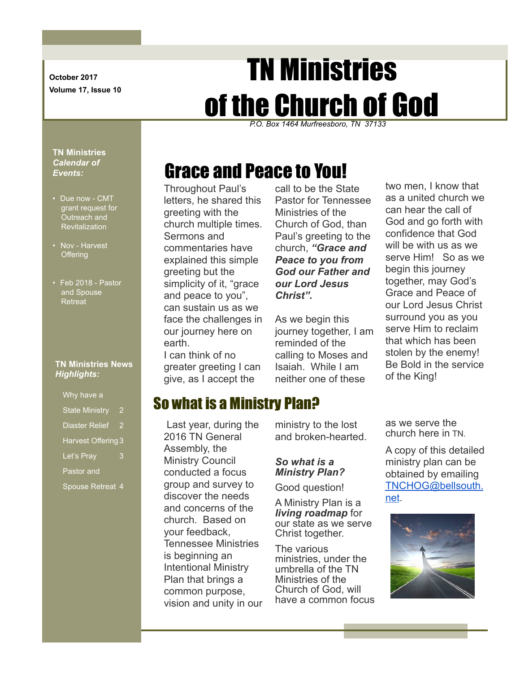**October 2017 Volume 17, Issue 10**

# TN Ministries of the Church of God

*P.O. Box 1464 Murfreesboro, TN 37133*

#### **TN Ministries**  *Calendar of Events:*

- Due now CMT grant request for Outreach and Revitalization
- Nov Harvest **Offering**
- Feb 2018 Pastor and Spouse **Retreat**

#### **TN Ministries News** *Highlights:*

Why have a State Ministry 2

- Diaster Relief 2 Harvest Offering 3
- Let's Pray 3
- Pastor and
- Spouse Retreat 4

# Grace and Peace to You!

Throughout Paul's letters, he shared this greeting with the church multiple times. Sermons and commentaries have explained this simple greeting but the simplicity of it, "grace and peace to you", can sustain us as we face the challenges in our journey here on earth. I can think of no greater greeting I can give, as I accept the

call to be the State Pastor for Tennessee Ministries of the Church of God, than Paul's greeting to the church, *"Grace and Peace to you from God our Father and our Lord Jesus Christ".* 

As we begin this journey together, I am reminded of the calling to Moses and Isaiah. While I am neither one of these

# So what is a Ministry Plan?

Last year, during the 2016 TN General Assembly, the Ministry Council conducted a focus group and survey to discover the needs and concerns of the church. Based on your feedback, Tennessee Ministries is beginning an Intentional Ministry Plan that brings a common purpose, vision and unity in our ministry to the lost and broken-hearted.

#### *So what is a Ministry Plan?*

Good question!

A Ministry Plan is a *living roadmap* for our state as we serve Christ together.

The various ministries, under the umbrella of the TN Ministries of the Church of God, will have a common focus two men, I know that as a united church we can hear the call of God and go forth with confidence that God will be with us as we serve Him! So as we begin this journey together, may God's Grace and Peace of our Lord Jesus Christ surround you as you serve Him to reclaim that which has been stolen by the enemy! Be Bold in the service of the King!

as we serve the church here in TN.

A copy of this detailed ministry plan can be obtained by emailing [TNCHOG@bellsouth.](mailto:TNCHOG@bellsouth.net) [net](mailto:TNCHOG@bellsouth.net).

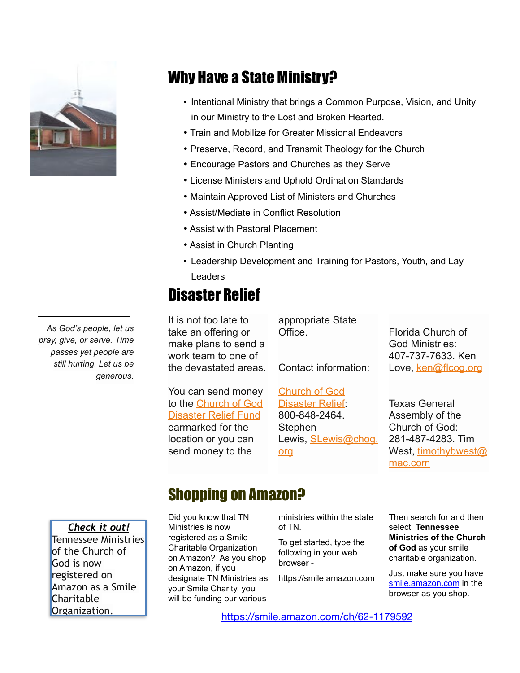

## Why Have a State Ministry?

- Intentional Ministry that brings a Common Purpose, Vision, and Unity in our Ministry to the Lost and Broken Hearted.
- Train and Mobilize for Greater Missional Endeavors
- Preserve, Record, and Transmit Theology for the Church
- Encourage Pastors and Churches as they Serve
- License Ministers and Uphold Ordination Standards
- Maintain Approved List of Ministers and Churches

[org](mailto:SLewis@chog.org)

- Assist/Mediate in Conflict Resolution
- Assist with Pastoral Placement
- Assist in Church Planting
- Leadership Development and Training for Pastors, Youth, and Lay **Leaders**

## Disaster Relief

It is not too late to take an offering or make plans to send a work team to one of the devastated areas.

You can send money [to the Church of God](http://www.jesusisthesubject.org/disaster-relief/)  [Disaster Relief Fund](http://www.jesusisthesubject.org/disaster-relief/) earmarked for the location or you can send money to the

appropriate State Office. Contact information: [Church of God](http://www.jesusisthesubject.org/disaster-relief/)  Florida Church of God Ministries: 407-737-7633. Ken Love, [ken@flcog.org](mailto:ken@flcog.org)

[Disaster Relief](http://www.jesusisthesubject.org/disaster-relief/): 800-848-2464. **Stephen** Lewis, **SLewis@chog.** 

Texas General Assembly of the Church of God: 281-487-4283. Tim [West, timothybwest@](mailto:timothybwest@mac.com) [mac.com](mailto:timothybwest@mac.com)

## *Check it out!*  Tennessee Ministries of the Church of God is now registered on Amazon as a Smile **Charitable**

## Shopping on Amazon?

Did you know that TN Ministries is now registered as a Smile Charitable Organization on Amazon? As you shop on Amazon, if you designate TN Ministries as your Smile Charity, you will be funding our various

ministries within the state of TN.

To get started, type the following in your web browser -

https://smile.amazon.com

Then search for and then select **Tennessee Ministries of the Church of God** as your smile charitable organization.

Just make sure you have [smile.amazon.com](http://smile.amazon.com) in the browser as you shop.

Organization. <https://smile.amazon.com/ch/62-1179592>

*As God's people, let us pray, give, or serve. Time passes yet people are still hurting. Let us be generous.*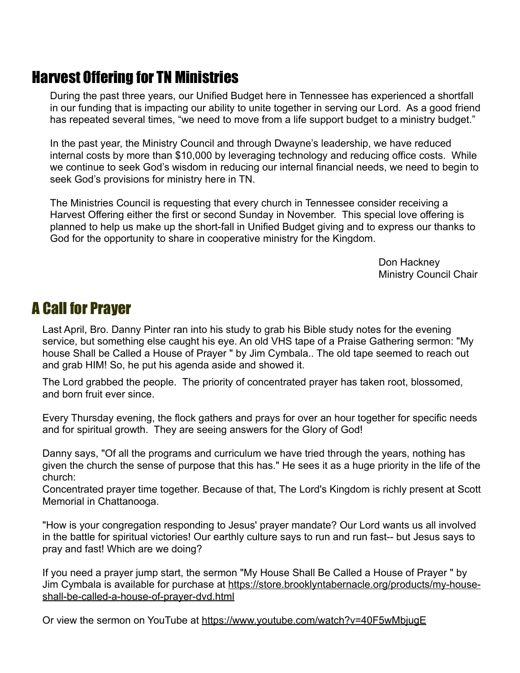# Harvest Offering for TN Ministries

During the past three years, our Unified Budget here in Tennessee has experienced a shortfall in our funding that is impacting our ability to unite together in serving our Lord. As a good friend has repeated several times, "we need to move from a life support budget to a ministry budget."

In the past year, the Ministry Council and through Dwayne's leadership, we have reduced internal costs by more than \$10,000 by leveraging technology and reducing office costs. While we continue to seek God's wisdom in reducing our internal financial needs, we need to begin to seek God's provisions for ministry here in TN.

The Ministries Council is requesting that every church in Tennessee consider receiving a Harvest Offering either the first or second Sunday in November. This special love offering is planned to help us make up the short-fall in Unified Budget giving and to express our thanks to God for the opportunity to share in cooperative ministry for the Kingdom.

> Don Hackney Ministry Council Chair

## A Call for Prayer

Last April, Bro. Danny Pinter ran into his study to grab his Bible study notes for the evening service, but something else caught his eye. An old VHS tape of a Praise Gathering sermon: "My house Shall be Called a House of Prayer " by Jim Cymbala.. The old tape seemed to reach out and grab HIM! So, he put his agenda aside and showed it.

The Lord grabbed the people. The priority of concentrated prayer has taken root, blossomed, and born fruit ever since.

Every Thursday evening, the flock gathers and prays for over an hour together for specific needs and for spiritual growth. They are seeing answers for the Glory of God!

Danny says, "Of all the programs and curriculum we have tried through the years, nothing has given the church the sense of purpose that this has." He sees it as a huge priority in the life of the church:

Concentrated prayer time together. Because of that, The Lord's Kingdom is richly present at Scott Memorial in Chattanooga.

"How is your congregation responding to Jesus' prayer mandate? Our Lord wants us all involved in the battle for spiritual victories! Our earthly culture says to run and run fast-- but Jesus says to pray and fast! Which are we doing?

If you need a prayer jump start, the sermon "My House Shall Be Called a House of Prayer " by [Jim Cymbala is available for purchase at https://store.brooklyntabernacle.org/products/my-house](https://store.brooklyntabernacle.org/products/my-house-shall-be-called-a-house-of-prayer-dvd.html)[shall-be-called-a-house-of-prayer-dvd.html](https://store.brooklyntabernacle.org/products/my-house-shall-be-called-a-house-of-prayer-dvd.html)

Or view the sermon on YouTube at <https://www.youtube.com/watch?v=40F5wMbjugE>